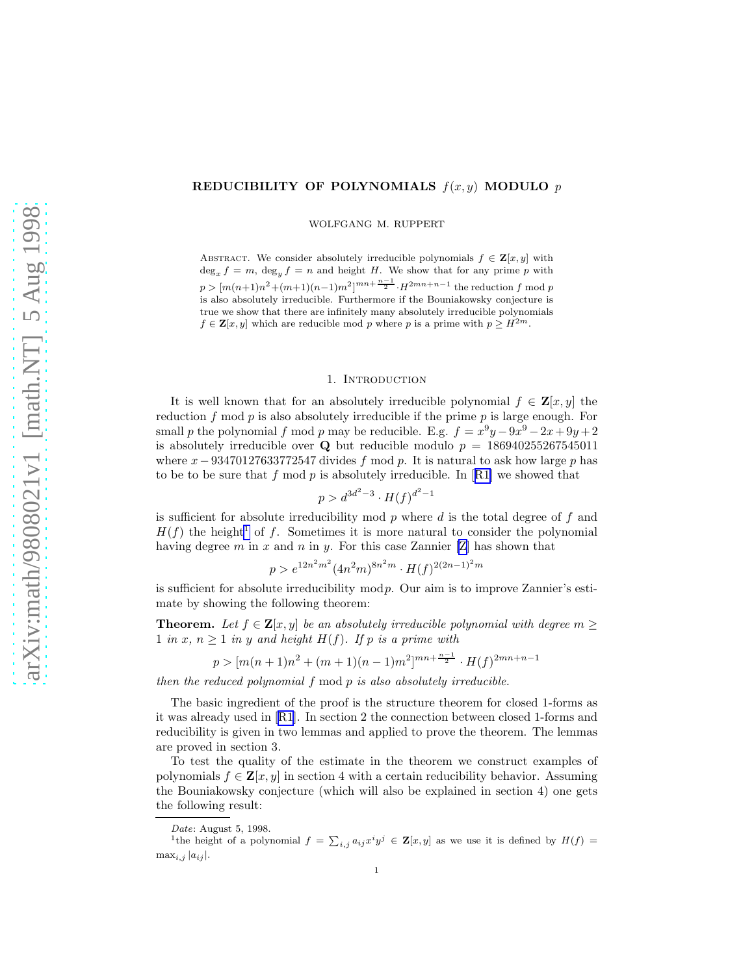# REDUCIBILITY OF POLYNOMIALS  $f(x, y)$  MODULO  $p$

WOLFGANG M. RUPPERT

ABSTRACT. We consider absolutely irreducible polynomials  $f \in \mathbf{Z}[x, y]$  with  $\deg_x f = m$ ,  $\deg_y f = n$  and height H. We show that for any prime p with  $p > [m(n+1)n^2 + (m+1)(n-1)m^2]^{mn + \frac{n-1}{2}} \cdot H^{2mn+n-1}$  the reduction f mod p is also absolutely irreducible. Furthermore if the Bouniakowsky conjecture is true we show that there are infinitely many absolutely irreducible polynomials  $f \in \mathbf{Z}[x, y]$  which are reducible mod p where p is a prime with  $p \geq H^{2m}$ .

### 1. INTRODUCTION

It is well known that for an absolutely irreducible polynomial  $f \in \mathbf{Z}[x, y]$  the reduction  $f \mod p$  is also absolutely irreducible if the prime  $p$  is large enough. For small p the polynomial f mod p may be reducible. E.g.  $f = x^9y - 9x^9 - 2x + 9y + 2$ is absolutely irreducible over **Q** but reducible modulo  $p = 186940255267545011$ where  $x-93470127633772547$  divides f mod p. It is natural to ask how large p has tobe to be sure that f mod p is absolutely irreducible. In  $|R1|$  we showed that

$$
p > d^{3d^2 - 3} \cdot H(f)^{d^2 - 1}
$$

is sufficient for absolute irreducibility mod  $p$  where  $d$  is the total degree of  $f$  and  $H(f)$  the height<sup>1</sup> of f. Sometimes it is more natural to consider the polynomial havingdegree m in x and n in y. For this case [Z](#page-6-0)annier  $[Z]$  has shown that

$$
p > e^{12n^2m^2} (4n^2m)^{8n^2m} \cdot H(f)^{2(2n-1)^2m}
$$

is sufficient for absolute irreducibility  $\text{mod } p$ . Our aim is to improve Zannier's estimate by showing the following theorem:

**Theorem.** Let  $f \in \mathbf{Z}[x, y]$  be an absolutely irreducible polynomial with degree  $m >$ 1 in x,  $n \geq 1$  in y and height  $H(f)$ . If p is a prime with

$$
p > [m(n+1)n^{2} + (m+1)(n-1)m^{2}]^{mn + \frac{n-1}{2}} \cdot H(f)^{2mn+n-1}
$$

then the reduced polynomial f mod p is also absolutely irreducible.

The basic ingredient of the proof is the structure theorem for closed 1-forms as it was already used in[[R1](#page-6-0)]. In section 2 the connection between closed 1-forms and reducibility is given in two lemmas and applied to prove the theorem. The lemmas are proved in section 3.

To test the quality of the estimate in the theorem we construct examples of polynomials  $f \in \mathbf{Z}[x, y]$  in section 4 with a certain reducibility behavior. Assuming the Bouniakowsky conjecture (which will also be explained in section 4) one gets the following result:

Date: August 5, 1998.

<sup>&</sup>lt;sup>1</sup>the height of a polynomial  $f = \sum_{i,j} a_{ij} x^i y^j \in \mathbf{Z}[x,y]$  as we use it is defined by  $H(f) =$  $\max_{i,j} |a_{ij}|.$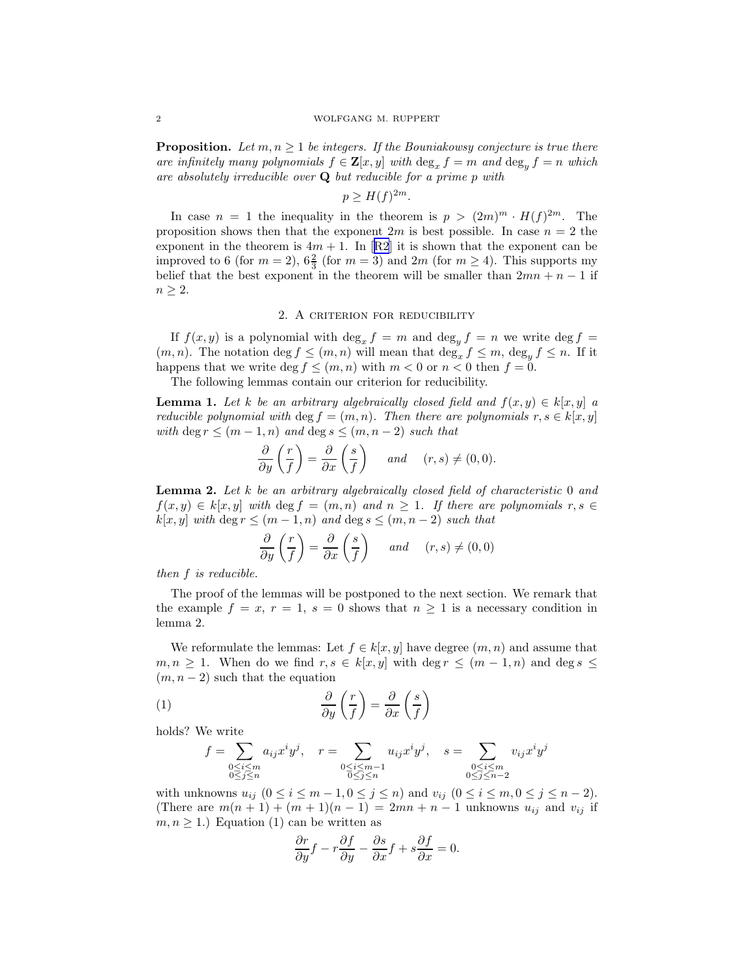#### 2 WOLFGANG M. RUPPERT

**Proposition.** Let  $m, n \geq 1$  be integers. If the Bouniakowsy conjecture is true there are infinitely many polynomials  $f \in \mathbf{Z}[x, y]$  with  $\deg_x f = m$  and  $\deg_y f = n$  which are absolutely irreducible over Q but reducible for a prime p with

 $p \geq H(f)^{2m}$ .

In case  $n = 1$  the inequality in the theorem is  $p > (2m)^m \cdot H(f)^{2m}$ . The proposition shows then that the exponent  $2m$  is best possible. In case  $n = 2$  the exponentin the theorem is  $4m + 1$ . In [[R2](#page-6-0)] it is shown that the exponent can be improved to 6 (for  $m = 2$ ),  $6\frac{2}{3}$  (for  $m = 3$ ) and  $2m$  (for  $m \ge 4$ ). This supports my belief that the best exponent in the theorem will be smaller than  $2mn + n - 1$  if  $n \geq 2$ .

# 2. A CRITERION FOR REDUCIBILITY

If  $f(x, y)$  is a polynomial with  $\deg_x f = m$  and  $\deg_y f = n$  we write  $\deg f =$  $(m, n)$ . The notation  $\deg f \leq (m, n)$  will mean that  $\deg_x f \leq m$ ,  $\deg_y f \leq n$ . If it happens that we write deg  $f \leq (m, n)$  with  $m < 0$  or  $n < 0$  then  $f = 0$ .

The following lemmas contain our criterion for reducibility.

**Lemma 1.** Let k be an arbitrary algebraically closed field and  $f(x, y) \in k[x, y]$  a reducible polynomial with deg  $f = (m, n)$ . Then there are polynomials  $r, s \in k[x, y]$ with deg  $r \leq (m-1, n)$  and deg  $s \leq (m, n-2)$  such that

$$
\frac{\partial}{\partial y}\left(\frac{r}{f}\right) = \frac{\partial}{\partial x}\left(\frac{s}{f}\right) \quad \text{and} \quad (r,s) \neq (0,0).
$$

**Lemma 2.** Let k be an arbitrary algebraically closed field of characteristic  $0$  and  $f(x, y) \in k[x, y]$  with deg  $f = (m, n)$  and  $n \ge 1$ . If there are polynomials  $r, s \in$  $k[x, y]$  with  $\deg r \le (m - 1, n)$  and  $\deg s \le (m, n - 2)$  such that

$$
\frac{\partial}{\partial y}\left(\frac{r}{f}\right) = \frac{\partial}{\partial x}\left(\frac{s}{f}\right) \quad \text{and} \quad (r,s) \neq (0,0)
$$

then f is reducible.

The proof of the lemmas will be postponed to the next section. We remark that the example  $f = x$ ,  $r = 1$ ,  $s = 0$  shows that  $n \ge 1$  is a necessary condition in lemma 2.

We reformulate the lemmas: Let  $f \in k[x, y]$  have degree  $(m, n)$  and assume that  $m, n \geq 1$ . When do we find  $r, s \in k[x, y]$  with  $\deg r \leq (m-1, n)$  and  $\deg s \leq$  $(m, n - 2)$  such that the equation

(1) 
$$
\frac{\partial}{\partial y} \left( \frac{r}{f} \right) = \frac{\partial}{\partial x} \left( \frac{s}{f} \right)
$$

holds? We write

$$
f = \sum_{\substack{0 \le i \le m \\ 0 \le j \le n}} a_{ij} x^i y^j, \quad r = \sum_{\substack{0 \le i \le m-1 \\ 0 \le j \le n}} u_{ij} x^i y^j, \quad s = \sum_{\substack{0 \le i \le m \\ 0 \le j \le n-2}} v_{ij} x^i y^j
$$

with unknowns  $u_{ij}$   $(0 \le i \le m - 1, 0 \le j \le n)$  and  $v_{ij}$   $(0 \le i \le m, 0 \le j \le n - 2)$ . (There are  $m(n + 1) + (m + 1)(n - 1) = 2mn + n - 1$  unknowns  $u_{ij}$  and  $v_{ij}$  if  $m, n \geq 1$ .) Equation (1) can be written as

$$
\frac{\partial r}{\partial y}f - r\frac{\partial f}{\partial y} - \frac{\partial s}{\partial x}f + s\frac{\partial f}{\partial x} = 0.
$$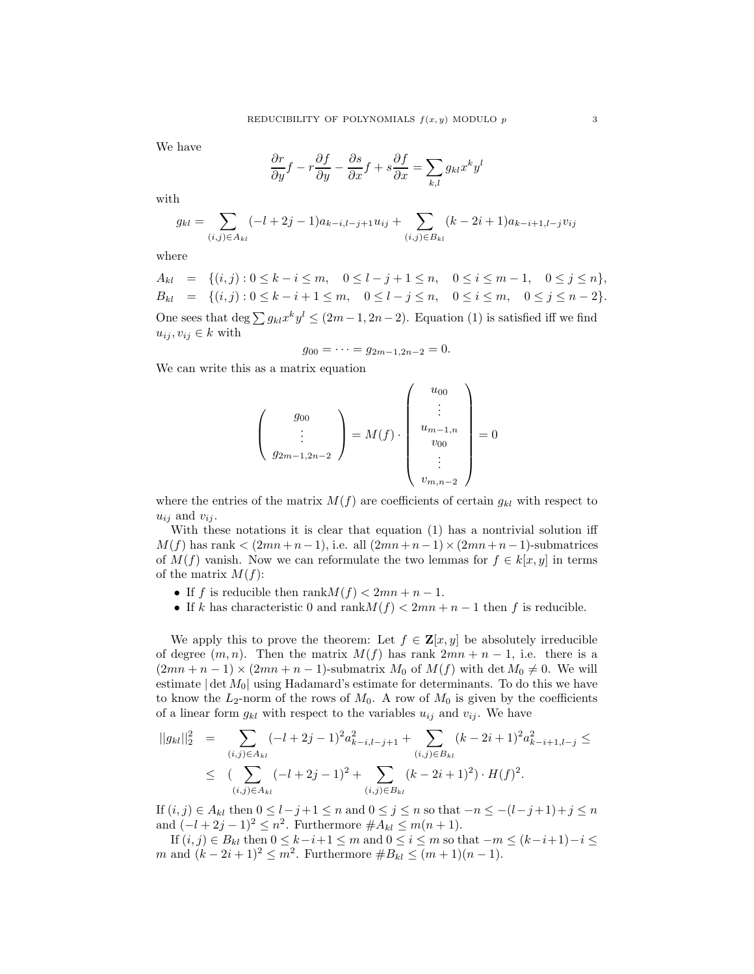We have

$$
\frac{\partial r}{\partial y}f - r\frac{\partial f}{\partial y} - \frac{\partial s}{\partial x}f + s\frac{\partial f}{\partial x} = \sum_{k,l} g_{kl}x^k y^l
$$

with

$$
g_{kl} = \sum_{(i,j)\in A_{kl}} (-l+2j-1)a_{k-i,l-j+1}u_{ij} + \sum_{(i,j)\in B_{kl}} (k-2i+1)a_{k-i+1,l-j}v_{ij}
$$

where

$$
A_{kl} = \{(i,j): 0 \le k - i \le m, \quad 0 \le l - j + 1 \le n, \quad 0 \le i \le m - 1, \quad 0 \le j \le n\},
$$
  
\n
$$
B_{kl} = \{(i,j): 0 \le k - i + 1 \le m, \quad 0 \le l - j \le n, \quad 0 \le i \le m, \quad 0 \le j \le n - 2\}.
$$

One sees that deg  $\sum g_{kl}x^ky^l \leq (2m-1, 2n-2)$ . Equation (1) is satisfied iff we find  $u_{ij}, v_{ij} \in k$  with

$$
g_{00} = \cdots = g_{2m-1,2n-2} = 0.
$$

We can write this as a matrix equation

$$
\left(\begin{array}{c}g_{00} \\ \vdots \\ g_{2m-1,2n-2}\end{array}\right) = M(f) \cdot \left(\begin{array}{c}u_{00} \\ \vdots \\ u_{m-1,n} \\ v_{00} \\ \vdots \\ v_{m,n-2}\end{array}\right) = 0
$$

where the entries of the matrix  $M(f)$  are coefficients of certain  $g_{kl}$  with respect to  $u_{ij}$  and  $v_{ij}$ .

With these notations it is clear that equation (1) has a nontrivial solution iff  $M(f)$  has rank  $\lt (2mn+n-1)$ , i.e. all  $(2mn+n-1)\times(2mn+n-1)$ -submatrices of  $M(f)$  vanish. Now we can reformulate the two lemmas for  $f \in k[x, y]$  in terms of the matrix  $M(f)$ :

- If f is reducible then  $\text{rank}M(f) < 2mn + n 1$ .
- If k has characteristic 0 and  $\text{rank}M(f) < 2mn + n 1$  then f is reducible.

We apply this to prove the theorem: Let  $f \in \mathbf{Z}[x, y]$  be absolutely irreducible of degree  $(m, n)$ . Then the matrix  $M(f)$  has rank  $2mn + n - 1$ , i.e. there is a  $(2mn + n - 1) \times (2mn + n - 1)$ -submatrix  $M_0$  of  $M(f)$  with det  $M_0 \neq 0$ . We will estimate  $\det M_0$  using Hadamard's estimate for determinants. To do this we have to know the  $L_2$ -norm of the rows of  $M_0$ . A row of  $M_0$  is given by the coefficients of a linear form  $g_{kl}$  with respect to the variables  $u_{ij}$  and  $v_{ij}$ . We have

$$
||g_{kl}||_2^2 = \sum_{(i,j)\in A_{kl}} (-l+2j-1)^2 a_{k-i,l-j+1}^2 + \sum_{(i,j)\in B_{kl}} (k-2i+1)^2 a_{k-i+1,l-j}^2 \le
$$
  
 
$$
\leq (\sum_{(i,j)\in A_{kl}} (-l+2j-1)^2 + \sum_{(i,j)\in B_{kl}} (k-2i+1)^2) \cdot H(f)^2.
$$

If  $(i, j) \in A_{kl}$  then  $0 \leq l-j+1 \leq n$  and  $0 \leq j \leq n$  so that  $-n \leq -(l-j+1)+j \leq n$ and  $(-l + 2j - 1)^2 \le n^2$ . Furthermore  $\#A_{kl} \le m(n + 1)$ .

If  $(i, j) \in B_{kl}$  then  $0 \leq k-i+1 \leq m$  and  $0 \leq i \leq m$  so that  $-m \leq (k-i+1)-i \leq$ *m* and  $(k - 2i + 1)^2$  ≤ *m*<sup>2</sup>. Furthermore  $#B_{kl}$  ≤  $(m + 1)(n - 1)$ .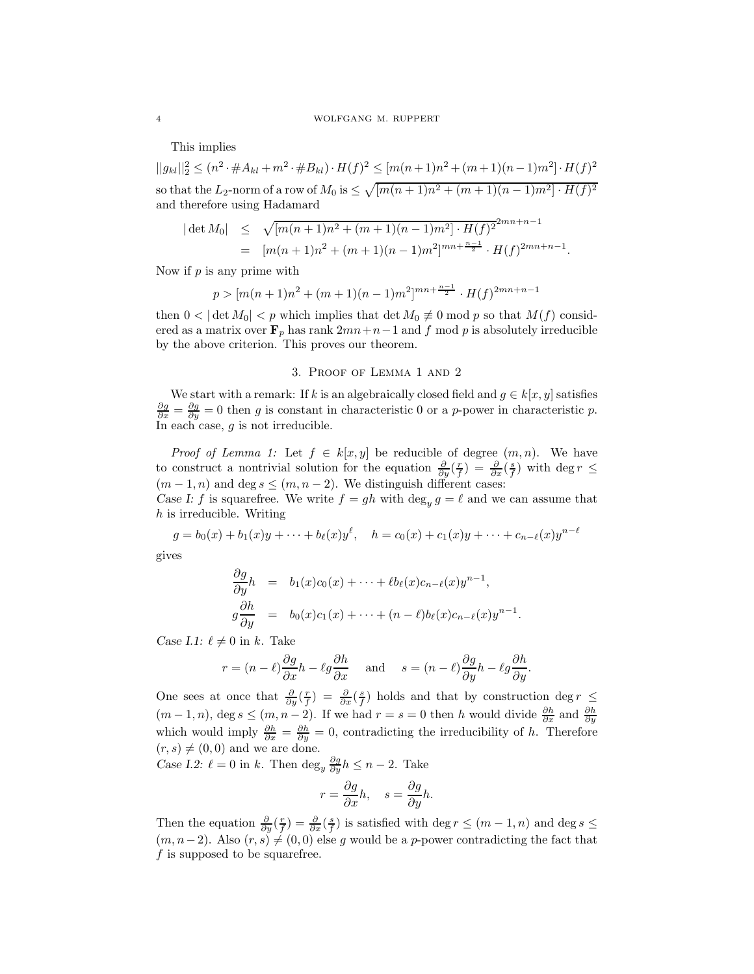This implies

 $||g_{kl}||_2^2 \leq (n^2 \cdot \#A_{kl} + m^2 \cdot \#B_{kl}) \cdot H(f)^2 \leq [m(n+1)n^2 + (m+1)(n-1)m^2] \cdot H(f)^2$ so that the  $L_2$ -norm of a row of  $M_0$  is  $\leq \sqrt{[m(n+1)n^2 + (m+1)(n-1)m^2] \cdot H(f)^2}$ and therefore using Hadamard

$$
|\det M_0| \leq \sqrt{[m(n+1)n^2 + (m+1)(n-1)m^2] \cdot H(f)^2}^{2mn+n-1}
$$
  
= 
$$
[m(n+1)n^2 + (m+1)(n-1)m^2]^{mn + \frac{n-1}{2}} \cdot H(f)^{2mn+n-1}.
$$

Now if  $p$  is any prime with

$$
p > [m(n+1)n^{2} + (m+1)(n-1)m^{2}]^{mn + \frac{n-1}{2}} \cdot H(f)^{2mn+n-1}
$$

then  $0 < |\det M_0| < p$  which implies that  $\det M_0 \neq 0 \text{ mod } p$  so that  $M(f)$  considered as a matrix over  $\mathbf{F}_p$  has rank  $2mn+n-1$  and f mod p is absolutely irreducible by the above criterion. This proves our theorem.

# 3. Proof of Lemma 1 and 2

We start with a remark: If k is an algebraically closed field and  $g \in k[x, y]$  satisfies  $\frac{\partial g}{\partial x} = \frac{\partial g}{\partial y} = 0$  then g is constant in characteristic 0 or a p-power in characteristic p. In each case,  $g$  is not irreducible.

*Proof of Lemma 1:* Let  $f \in k[x, y]$  be reducible of degree  $(m, n)$ . We have to construct a nontrivial solution for the equation  $\frac{\partial}{\partial y}(\frac{r}{f}) = \frac{\partial}{\partial x}(\frac{s}{f})$  with deg  $r \leq$  $(m-1, n)$  and deg  $s \leq (m, n-2)$ . We distinguish different cases: Case I: f is squarefree. We write  $f = gh$  with  $\deg_y g = \ell$  and we can assume that

h is irreducible. Writing

 $g = b_0(x) + b_1(x)y + \cdots + b_\ell(x)y^\ell$ ,  $h = c_0(x) + c_1(x)y + \cdots + c_{n-\ell}(x)y^{n-\ell}$ gives

$$
\frac{\partial g}{\partial y}h = b_1(x)c_0(x) + \cdots + \ell b_\ell(x)c_{n-\ell}(x)y^{n-1},
$$

$$
g\frac{\partial h}{\partial y} = b_0(x)c_1(x) + \cdots + (n-\ell)b_\ell(x)c_{n-\ell}(x)y^{n-1}.
$$

*Case I.1:*  $\ell \neq 0$  in k. Take

$$
r = (n - \ell)\frac{\partial g}{\partial x}h - \ell g \frac{\partial h}{\partial x}
$$
 and  $s = (n - \ell)\frac{\partial g}{\partial y}h - \ell g \frac{\partial h}{\partial y}$ .

One sees at once that  $\frac{\partial}{\partial y}(\frac{r}{f}) = \frac{\partial}{\partial x}(\frac{s}{f})$  holds and that by construction deg  $r \leq$  $(m-1,n)$ , deg  $s \leq (m, n-2)$ . If we had  $r = s = 0$  then h would divide  $\frac{\partial h}{\partial x}$  and  $\frac{\partial h}{\partial y}$ which would imply  $\frac{\partial h}{\partial x} = \frac{\partial h}{\partial y} = 0$ , contradicting the irreducibility of h. Therefore  $(r, s) \neq (0, 0)$  and we are done.

*Case I.2:*  $\ell = 0$  in k. Then  $\deg_y \frac{\partial g}{\partial y} h \leq n - 2$ . Take

$$
r = \frac{\partial g}{\partial x}h, \quad s = \frac{\partial g}{\partial y}h.
$$

Then the equation  $\frac{\partial}{\partial y}(\frac{r}{f}) = \frac{\partial}{\partial x}(\frac{s}{f})$  is satisfied with deg  $r \leq (m-1,n)$  and deg  $s \leq$  $(m, n-2)$ . Also  $(r, s) \neq (0, 0)$  else g would be a p-power contradicting the fact that  $f$  is supposed to be squarefree.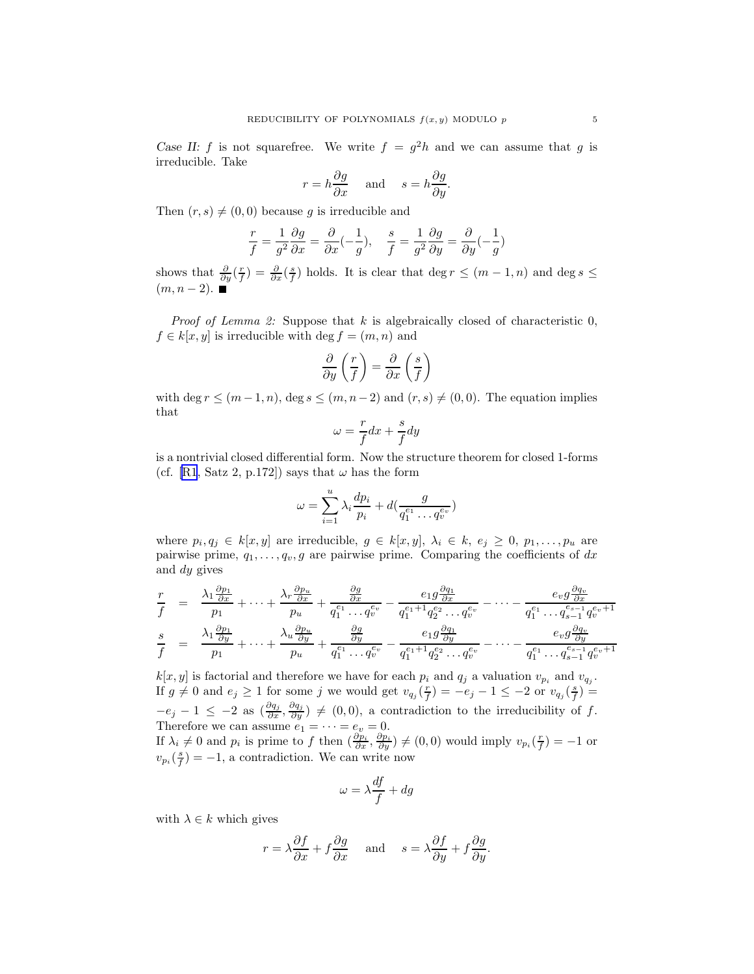Case II: f is not squarefree. We write  $f = g^2 h$  and we can assume that g is irreducible. Take

$$
r = h \frac{\partial g}{\partial x}
$$
 and  $s = h \frac{\partial g}{\partial y}$ .

Then  $(r, s) \neq (0, 0)$  because g is irreducible and

$$
\frac{r}{f} = \frac{1}{g^2} \frac{\partial g}{\partial x} = \frac{\partial}{\partial x} (-\frac{1}{g}), \quad \frac{s}{f} = \frac{1}{g^2} \frac{\partial g}{\partial y} = \frac{\partial}{\partial y} (-\frac{1}{g})
$$

shows that  $\frac{\partial}{\partial y}\left(\frac{r}{f}\right) = \frac{\partial}{\partial x}\left(\frac{s}{f}\right)$  holds. It is clear that deg  $r \leq (m-1,n)$  and deg  $s \leq$  $(m, n - 2)$ .

*Proof of Lemma 2:* Suppose that k is algebraically closed of characteristic 0,  $f \in k[x, y]$  is irreducible with deg  $f = (m, n)$  and

$$
\frac{\partial}{\partial y}\left(\frac{r}{f}\right) = \frac{\partial}{\partial x}\left(\frac{s}{f}\right)
$$

with deg  $r \leq (m-1, n)$ , deg  $s \leq (m, n-2)$  and  $(r, s) \neq (0, 0)$ . The equation implies that

$$
\omega = \frac{r}{f}dx + \frac{s}{f}dy
$$

is a nontrivial closed differential form. Now the structure theorem for closed 1-forms (cf.[[R1](#page-6-0), Satz 2, p.172]) says that  $\omega$  has the form

$$
\omega = \sum_{i=1}^{u} \lambda_i \frac{dp_i}{p_i} + d(\frac{g}{q_1^{e_1} \dots q_v^{e_v}})
$$

where  $p_i, q_j \in k[x, y]$  are irreducible,  $g \in k[x, y]$ ,  $\lambda_i \in k$ ,  $e_j \geq 0$ ,  $p_1, \ldots, p_u$  are pairwise prime,  $q_1, \ldots, q_v, g$  are pairwise prime. Comparing the coefficients of dx and dy gives

$$
\frac{r}{f} = \frac{\lambda_1 \frac{\partial p_1}{\partial x}}{p_1} + \dots + \frac{\lambda_r \frac{\partial p_u}{\partial x}}{p_u} + \frac{\frac{\partial g}{\partial x}}{q_1^{e_1} \dots q_v^{e_v}} - \frac{e_1 g \frac{\partial q_1}{\partial x}}{q_1^{e_1 + 1} q_2^{e_2} \dots q_v^{e_v}} - \dots - \frac{e_v g \frac{\partial q_v}{\partial x}}{q_1^{e_1} \dots q_{s-1}^{e_{s-1}} q_v^{e_v+1}}
$$
\n
$$
\frac{s}{f} = \frac{\lambda_1 \frac{\partial p_1}{\partial y}}{p_1} + \dots + \frac{\lambda_u \frac{\partial p_u}{\partial y}}{p_u} + \frac{\frac{\partial g}{\partial y}}{q_1^{e_1} \dots q_v^{e_v}} - \frac{e_1 g \frac{\partial q_1}{\partial y}}{q_1^{e_1 + 1} q_2^{e_2} \dots q_v^{e_v}} - \dots - \frac{e_v g \frac{\partial q_v}{\partial y}}{q_1^{e_1} \dots q_{s-1}^{e_{s-1}} q_v^{e_v+1}}
$$

 $k[x, y]$  is factorial and therefore we have for each  $p_i$  and  $q_j$  a valuation  $v_{p_i}$  and  $v_{q_j}$ . If  $g \neq 0$  and  $e_j \geq 1$  for some j we would get  $v_{q_j}(\frac{r}{f}) = -e_j - 1 \leq -2$  or  $v_{q_j}(\frac{s}{f}) =$  $-e_j - 1 \leq -2$  as  $\left(\frac{\partial q_j}{\partial x}, \frac{\partial q_j}{\partial y}\right) \neq (0, 0)$ , a contradiction to the irreducibility of f. Therefore we can assume  $e_1 = \cdots = e_v = 0$ . If  $\lambda_i \neq 0$  and  $p_i$  is prime to f then  $\left(\frac{\partial p_i}{\partial x}, \frac{\partial p_i}{\partial y}\right) \neq (0, 0)$  would imply  $v_{p_i}(\frac{r}{f}) = -1$  or  $v_{p_i}(\frac{s}{f}) = -1$ , a contradiction. We can write now

$$
\omega = \lambda \frac{df}{f} + dg
$$

with  $\lambda \in k$  which gives

$$
r = \lambda \frac{\partial f}{\partial x} + f \frac{\partial g}{\partial x}
$$
 and  $s = \lambda \frac{\partial f}{\partial y} + f \frac{\partial g}{\partial y}$ .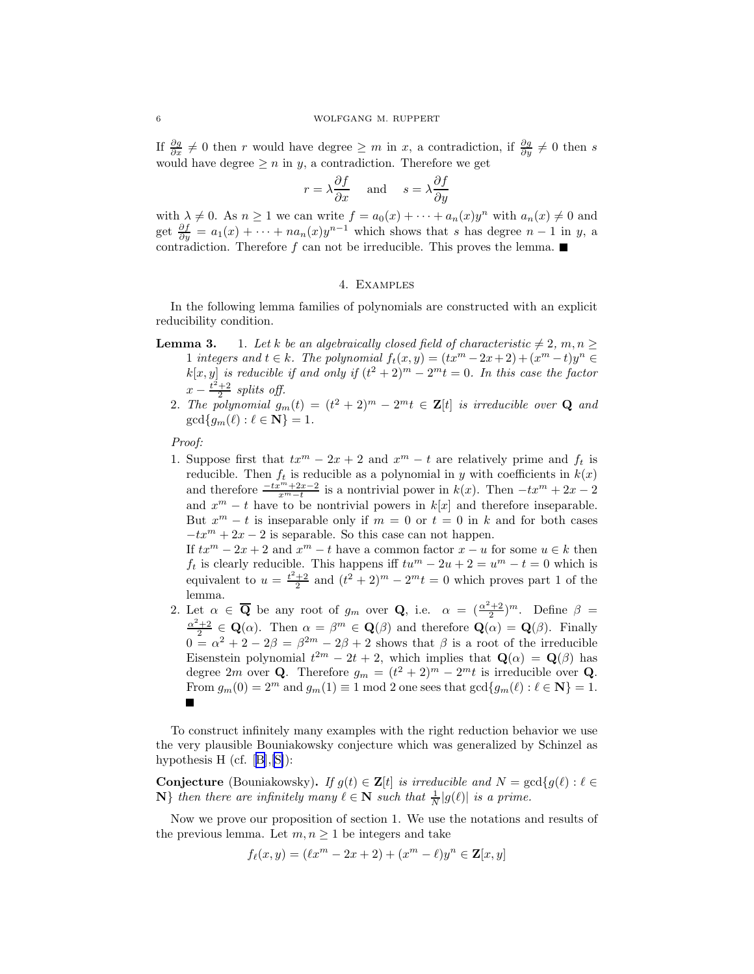If  $\frac{\partial g}{\partial x} \neq 0$  then r would have degree  $\geq m$  in x, a contradiction, if  $\frac{\partial g}{\partial y} \neq 0$  then s would have degree  $\geq n$  in y, a contradiction. Therefore we get

$$
r = \lambda \frac{\partial f}{\partial x}
$$
 and  $s = \lambda \frac{\partial f}{\partial y}$ 

with  $\lambda \neq 0$ . As  $n \geq 1$  we can write  $f = a_0(x) + \cdots + a_n(x)y^n$  with  $a_n(x) \neq 0$  and get  $\frac{\partial f}{\partial y} = a_1(x) + \cdots + na_n(x)y^{n-1}$  which shows that s has degree  $n-1$  in y, a contradiction. Therefore f can not be irreducible. This proves the lemma.

#### 4. Examples

In the following lemma families of polynomials are constructed with an explicit reducibility condition.

- **Lemma 3.** 1. Let k be an algebraically closed field of characteristic  $\neq 2, m, n \geq 1$ 1 integers and  $t \in k$ . The polynomial  $f_t(x, y) = (tx^m - 2x + 2) + (x^m - t)y^n \in$  $k[x, y]$  is reducible if and only if  $(t^2 + 2)^m - 2^m t = 0$ . In this case the factor  $x-\frac{t^2+2}{2}$  splits off.
	- 2. The polynomial  $g_m(t) = (t^2 + 2)^m 2^m t \in \mathbf{Z}[t]$  is irreducible over **Q** and  $\gcd\{g_m(\ell): \ell \in \mathbf{N}\} = 1.$

Proof:

1. Suppose first that  $tx^m - 2x + 2$  and  $x^m - t$  are relatively prime and  $f_t$  is reducible. Then  $f_t$  is reducible as a polynomial in y with coefficients in  $k(x)$ and therefore  $\frac{-tx^m+2x-2}{x^m-t}$  is a nontrivial power in  $k(x)$ . Then  $-tx^m+2x-2$ and  $x^m - t$  have to be nontrivial powers in  $k[x]$  and therefore inseparable. But  $x^m - t$  is inseparable only if  $m = 0$  or  $t = 0$  in k and for both cases  $-tx^m + 2x - 2$  is separable. So this case can not happen.

If  $tx^m - 2x + 2$  and  $x^m - t$  have a common factor  $x - u$  for some  $u \in k$  then  $f_t$  is clearly reducible. This happens iff  $tu^m - 2u + 2 = u^m - t = 0$  which is equivalent to  $u = \frac{t^2+2}{2}$  and  $(t^2+2)^m - 2^m t = 0$  which proves part 1 of the lemma.

2. Let  $\alpha \in \overline{\mathbf{Q}}$  be any root of  $g_m$  over  $\mathbf{Q}$ , i.e.  $\alpha = (\frac{\alpha^2+2}{2})^m$ . Define  $\beta =$  $\frac{\alpha^2+2}{2} \in \mathbf{Q}(\alpha)$ . Then  $\alpha = \beta^m \in \mathbf{Q}(\beta)$  and therefore  $\mathbf{Q}(\alpha) = \mathbf{Q}(\beta)$ . Finally  $0 = \alpha^2 + 2 - 2\beta = \beta^{2m} - 2\beta + 2$  shows that  $\beta$  is a root of the irreducible Eisenstein polynomial  $t^{2m} - 2t + 2$ , which implies that  $\mathbf{Q}(\alpha) = \mathbf{Q}(\beta)$  has degree 2m over **Q**. Therefore  $g_m = (t^2 + 2)^m - 2^m t$  is irreducible over **Q**. From  $g_m(0) = 2^m$  and  $g_m(1) \equiv 1 \mod 2$  one sees that  $\gcd\{g_m(\ell) : \ell \in \mathbb{N}\} = 1$ .

To construct infinitely many examples with the right reduction behavior we use the very plausible Bouniakowsky conjecture which was generalized by Schinzel as hypothesis H (cf.[[B\]](#page-6-0),[\[S\]](#page-6-0)):

**Conjecture** (Bouniakowsky). If  $g(t) \in \mathbf{Z}[t]$  is irreducible and  $N = \text{gcd}\{g(\ell) : \ell \in \mathbf{Z}[t] \}$  $\mathbf{N}\}\$  then there are infinitely many  $\ell \in \mathbf{N}$  such that  $\frac{1}{N}|g(\ell)|$  is a prime.

Now we prove our proposition of section 1. We use the notations and results of the previous lemma. Let  $m, n \geq 1$  be integers and take

$$
f_{\ell}(x, y) = (\ell x^{m} - 2x + 2) + (x^{m} - \ell)y^{n} \in \mathbf{Z}[x, y]
$$